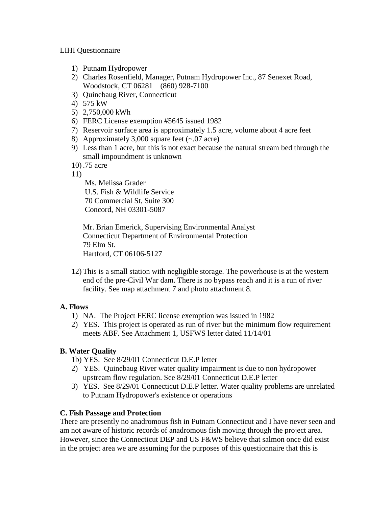LIHI Questionnaire

- 1) Putnam Hydropower
- 2) Charles Rosenfield, Manager, Putnam Hydropower Inc., 87 Senexet Road, Woodstock, CT 06281 (860) 928-7100
- 3) Quinebaug River, Connecticut
- 4) 575 kW
- 5) 2,750,000 kWh
- 6) FERC License exemption #5645 issued 1982
- 7) Reservoir surface area is approximately 1.5 acre, volume about 4 acre feet
- 8) Approximately 3,000 square feet (~.07 acre)
- 9) Less than 1 acre, but this is not exact because the natural stream bed through the small impoundment is unknown

10) .75 acre

11)

 Ms. Melissa Grader U.S. Fish & Wildlife Service 70 Commercial St, Suite 300 Concord, NH 03301-5087

 Mr. Brian Emerick, Supervising Environmental Analyst Connecticut Department of Environmental Protection 79 Elm St. Hartford, CT 06106-5127

12) This is a small station with negligible storage. The powerhouse is at the western end of the pre-Civil War dam. There is no bypass reach and it is a run of river facility. See map attachment 7 and photo attachment 8.

# **A. Flows**

- 1) NA. The Project FERC license exemption was issued in 1982
- 2) YES. This project is operated as run of river but the minimum flow requirement meets ABF. See Attachment 1, USFWS letter dated 11/14/01

# **B. Water Quality**

- 1b) YES. See 8/29/01 Connecticut D.E.P letter
- 2) YES. Quinebaug River water quality impairment is due to non hydropower upstream flow regulation. See 8/29/01 Connecticut D.E.P letter
- 3) YES. See 8/29/01 Connecticut D.E.P letter. Water quality problems are unrelated to Putnam Hydropower's existence or operations

## **C. Fish Passage and Protection**

There are presently no anadromous fish in Putnam Connecticut and I have never seen and am not aware of historic records of anadromous fish moving through the project area. However, since the Connecticut DEP and US F&WS believe that salmon once did exist in the project area we are assuming for the purposes of this questionnaire that this is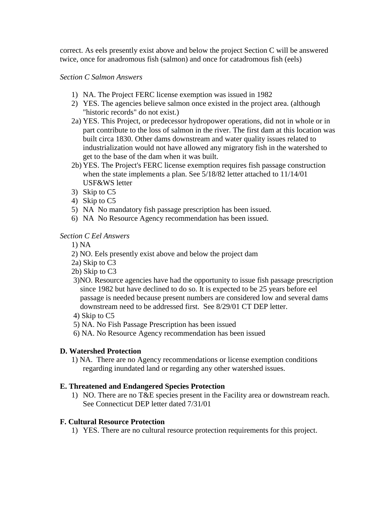correct. As eels presently exist above and below the project Section C will be answered twice, once for anadromous fish (salmon) and once for catadromous fish (eels)

## *Section C Salmon Answers*

- 1) NA. The Project FERC license exemption was issued in 1982
- 2) YES. The agencies believe salmon once existed in the project area. (although "historic records" do not exist.)
- 2a) YES. This Project, or predecessor hydropower operations, did not in whole or in part contribute to the loss of salmon in the river. The first dam at this location was built circa 1830. Other dams downstream and water quality issues related to industrialization would not have allowed any migratory fish in the watershed to get to the base of the dam when it was built.
- 2b) YES. The Project's FERC license exemption requires fish passage construction when the state implements a plan. See 5/18/82 letter attached to 11/14/01 USF&WS letter
- 3) Skip to C5
- 4) Skip to C5
- 5) NA No mandatory fish passage prescription has been issued.
- 6) NA No Resource Agency recommendation has been issued.

## *Section C Eel Answers*

- 1) NA
- 2) NO. Eels presently exist above and below the project dam
- 2a) Skip to C3
- 2b) Skip to C3
- 3)NO. Resource agencies have had the opportunity to issue fish passage prescription since 1982 but have declined to do so. It is expected to be 25 years before eel passage is needed because present numbers are considered low and several dams downstream need to be addressed first. See 8/29/01 CT DEP letter.
- 4) Skip to C5
- 5) NA. No Fish Passage Prescription has been issued
- 6) NA. No Resource Agency recommendation has been issued

#### **D. Watershed Protection**

 1) NA. There are no Agency recommendations or license exemption conditions regarding inundated land or regarding any other watershed issues.

#### **E. Threatened and Endangered Species Protection**

1) NO. There are no T&E species present in the Facility area or downstream reach. See Connecticut DEP letter dated 7/31/01

#### **F. Cultural Resource Protection**

1) YES. There are no cultural resource protection requirements for this project.